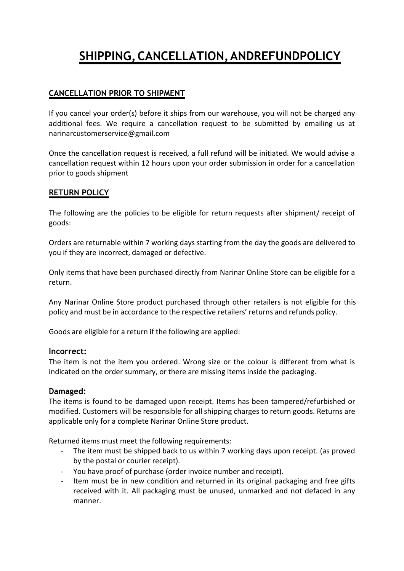# **SHIPPING,CANCELLATION,ANDREFUNDPOLICY**

# **CANCELLATION PRIOR TO SHIPMENT**

If you cancel your order(s) before it ships from our warehouse, you will not be charged any additional fees. We require a cancellation request to be submitted by emailing us at narinarcustomerservice@gmail.com

Once the cancellation request is received, a full refund will be initiated. We would advise a cancellation request within 12 hours upon your order submission in order for a cancellation prior to goods shipment

# **RETURN POLICY**

The following are the policies to be eligible for return requests after shipment/ receipt of goods:

Orders are returnable within 7 working days starting from the day the goods are delivered to you if they are incorrect, damaged or defective.

Only items that have been purchased directly from Narinar Online Store can be eligible for a return.

Any Narinar Online Store product purchased through other retailers is not eligible for this policy and must be in accordance to the respective retailers' returns and refunds policy.

Goods are eligible for a return if the following are applied:

#### **Incorrect:**

The item is not the item you ordered. Wrong size or the colour is different from what is indicated on the order summary, or there are missing items inside the packaging.

## **Damaged:**

The items is found to be damaged upon receipt. Items has been tampered/refurbished or modified. Customers will be responsible for all shipping charges to return goods. Returns are applicable only for a complete Narinar Online Store product.

Returned items must meet the following requirements:

- The item must be shipped back to us within 7 working days upon receipt. (as proved by the postal or courier receipt).
- You have proof of purchase (order invoice number and receipt).
- Item must be in new condition and returned in its original packaging and free gifts received with it. All packaging must be unused, unmarked and not defaced in any manner.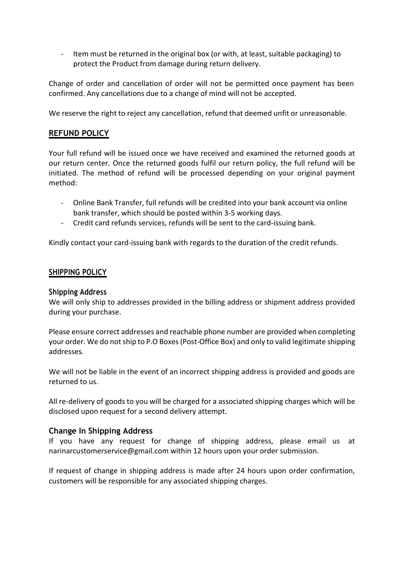- Item must be returned in the original box (or with, at least, suitable packaging) to protect the Product from damage during return delivery.

Change of order and cancellation of order will not be permitted once payment has been confirmed. Any cancellations due to a change of mind will not be accepted.

We reserve the right to reject any cancellation, refund that deemed unfit or unreasonable.

## **REFUND POLICY**

Your full refund will be issued once we have received and examined the returned goods at our return center. Once the returned goods fulfil our return policy, the full refund will be initiated. The method of refund will be processed depending on your original payment method:

- Online Bank Transfer, full refunds will be credited into your bank account via online bank transfer, which should be posted within 3-5 working days.
- Credit card refunds services, refunds will be sent to the card-issuing bank.

Kindly contact your card-issuing bank with regards to the duration of the credit refunds.

#### **SHIPPING POLICY**

#### **Shipping Address**

We will only ship to addresses provided in the billing address or shipment address provided during your purchase.

Please ensure correct addresses and reachable phone number are provided when completing your order. We do not ship to P.O Boxes (Post-Office Box) and only to valid legitimate shipping addresses.

We will not be liable in the event of an incorrect shipping address is provided and goods are returned to us.

All re-delivery of goods to you will be charged for a associated shipping charges which will be disclosed upon request for a second delivery attempt.

## **Change In Shipping Address**

If you have any request for change of shipping address, please email us at [narinarcustomerservice@gmail.com](mailto:sales@vidcrowdmedia.com) within 12 hours upon your order submission.

If request of change in shipping address is made after 24 hours upon order confirmation, customers will be responsible for any associated shipping charges.